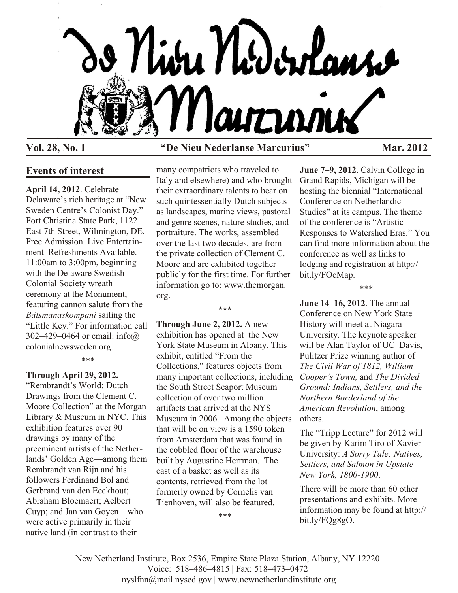

# **Vol. 28, No. 1 "De Nieu Nederlanse Marcurius" Mar. 2012**

# **Events of interest**

**April 14, 2012**. Celebrate Delaware's rich heritage at "New Sweden Centre's Colonist Day." Fort Christina State Park, 1122 East 7th Street, Wilmington, DE. Free Admission–Live Entertainment–Refreshments Available. 11:00am to 3:00pm, beginning with the Delaware Swedish Colonial Society wreath ceremony at the Monument, featuring cannon salute from the *Båtsmanaskompani* sailing the "Little Key." For information call 302–429–0464 or email: info@ colonialnewsweden.org.

\*\*\*

#### **Through April 29, 2012.**

"Rembrandt's World: Dutch Drawings from the Clement C. Moore Collection" at the Morgan Library & Museum in NYC. This exhibition features over 90 drawings by many of the preeminent artists of the Netherlands' Golden Age—among them Rembrandt van Rijn and his followers Ferdinand Bol and Gerbrand van den Eeckhout; Abraham Bloemaert; Aelbert Cuyp; and Jan van Goyen—who were active primarily in their native land (in contrast to their

many compatriots who traveled to Italy and elsewhere) and who brought their extraordinary talents to bear on such quintessentially Dutch subjects as landscapes, marine views, pastoral and genre scenes, nature studies, and portraiture. The works, assembled over the last two decades, are from the private collection of Clement C. Moore and are exhibited together publicly for the first time. For further information go to: www.themorgan. org.

**\*\*\***

**Through June 2, 2012.** A new exhibition has opened at the New York State Museum in Albany. This exhibit, entitled "From the Collections," features objects from many important collections, including the South Street Seaport Museum collection of over two million artifacts that arrived at the NYS Museum in 2006. Among the objects that will be on view is a 1590 token from Amsterdam that was found in the cobbled floor of the warehouse built by Augustine Herrman. The cast of a basket as well as its contents, retrieved from the lot formerly owned by Cornelis van Tienhoven, will also be featured.

\*\*\*

**June 7–9, 2012**. Calvin College in Grand Rapids, Michigan will be hosting the biennial "International Conference on Netherlandic Studies" at its campus. The theme of the conference is "Artistic Responses to Watershed Eras." You can find more information about the conference as well as links to lodging and registration at http:// bit.ly/FOcMap.

\*\*\*

**June 14–16, 2012**. The annual Conference on New York State History will meet at Niagara University. The keynote speaker will be Alan Taylor of UC–Davis, Pulitzer Prize winning author of *The Civil War of 1812, William Cooper's Town,* and *The Divided Ground: Indians, Settlers, and the Northern Borderland of the American Revolution*, among others.

The "Tripp Lecture" for 2012 will be given by Karim Tiro of Xavier University: *A Sorry Tale: Natives, Settlers, and Salmon in Upstate New York, 1800-1900*.

There will be more than 60 other presentations and exhibits. More information may be found at http:// bit.ly/FQg8gO.

New Netherland Institute, Box 2536, Empire State Plaza Station, Albany, NY 12220 Voice: 518–486–4815 | Fax: 518–473–0472 nyslfnn@mail.nysed.gov | www.newnetherlandinstitute.org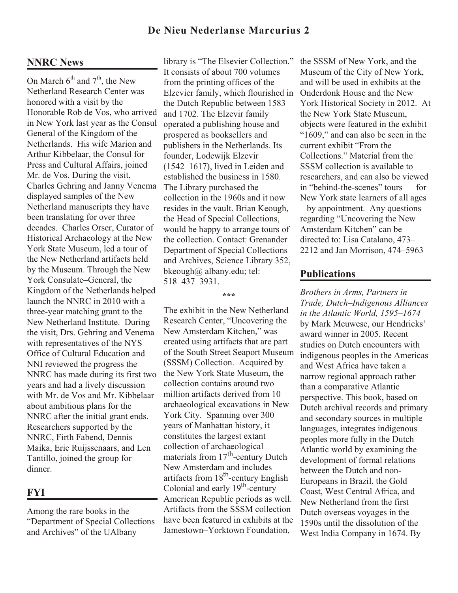## **De Nieu Nederlanse Marcurius 2**

### **NNRC News**

On March  $6^{th}$  and  $7^{th}$ , the New Netherland Research Center was honored with a visit by the Honorable Rob de Vos, who arrived in New York last year as the Consul General of the Kingdom of the Netherlands. His wife Marion and Arthur Kibbelaar, the Consul for Press and Cultural Affairs, joined Mr. de Vos. During the visit, Charles Gehring and Janny Venema displayed samples of the New Netherland manuscripts they have been translating for over three decades. Charles Orser, Curator of Historical Archaeology at the New York State Museum, led a tour of the New Netherland artifacts held by the Museum. Through the New York Consulate–General, the Kingdom of the Netherlands helped launch the NNRC in 2010 with a three-year matching grant to the New Netherland Institute. During the visit, Drs. Gehring and Venema with representatives of the NYS Office of Cultural Education and NNI reviewed the progress the NNRC has made during its first two years and had a lively discussion with Mr. de Vos and Mr. Kibbelaar about ambitious plans for the NNRC after the initial grant ends. Researchers supported by the NNRC, Firth Fabend, Dennis Maika, Eric Ruijssenaars, and Len Tantillo, joined the group for dinner.

## **FYI**

Among the rare books in the "Department of Special Collections and Archives" of the UAlbany

library is "The Elsevier Collection." It consists of about 700 volumes from the printing offices of the Elzevier family, which flourished in the Dutch Republic between 1583 and 1702. The Elzevir family operated a publishing house and prospered as booksellers and publishers in the Netherlands. Its founder, Lodewijk Elzevir (1542–1617), lived in Leiden and established the business in 1580. The Library purchased the collection in the 1960s and it now resides in the vault. Brian Keough, the Head of Special Collections, would be happy to arrange tours of the collection. Contact: Grenander Department of Special Collections and Archives, Science Library 352, bkeough@ albany.edu; tel: 518–437–3931.

#### **\*\*\***

The exhibit in the New Netherland Research Center, "Uncovering the New Amsterdam Kitchen," was created using artifacts that are part of the South Street Seaport Museum (SSSM) Collection. Acquired by the New York State Museum, the collection contains around two million artifacts derived from 10 archaeological excavations in New York City. Spanning over 300 years of Manhattan history, it constitutes the largest extant collection of archaeological materials from  $17<sup>th</sup>$ -century Dutch New Amsterdam and includes artifacts from 18<sup>th</sup>-century English Colonial and early  $19<sup>th</sup>$ -century American Republic periods as well. Artifacts from the SSSM collection have been featured in exhibits at the Jamestown–Yorktown Foundation,

the SSSM of New York, and the Museum of the City of New York, and will be used in exhibits at the Onderdonk House and the New York Historical Society in 2012. At the New York State Museum, objects were featured in the exhibit "1609," and can also be seen in the current exhibit "From the Collections." Material from the SSSM collection is available to researchers, and can also be viewed in "behind-the-scenes" tours — for New York state learners of all ages – by appointment. Any questions regarding "Uncovering the New Amsterdam Kitchen" can be directed to: Lisa Catalano, 473– 2212 and Jan Morrison, 474–5963

#### **Publications**

*Brothers in Arms, Partners in Trade, Dutch–Indigenous Alliances in the Atlantic World, 1595–1674* by Mark Meuwese, our Hendricks' award winner in 2005. Recent studies on Dutch encounters with indigenous peoples in the Americas and West Africa have taken a narrow regional approach rather than a comparative Atlantic perspective. This book, based on Dutch archival records and primary and secondary sources in multiple languages, integrates indigenous peoples more fully in the Dutch Atlantic world by examining the development of formal relations between the Dutch and non-Europeans in Brazil, the Gold Coast, West Central Africa, and New Netherland from the first Dutch overseas voyages in the 1590s until the dissolution of the West India Company in 1674. By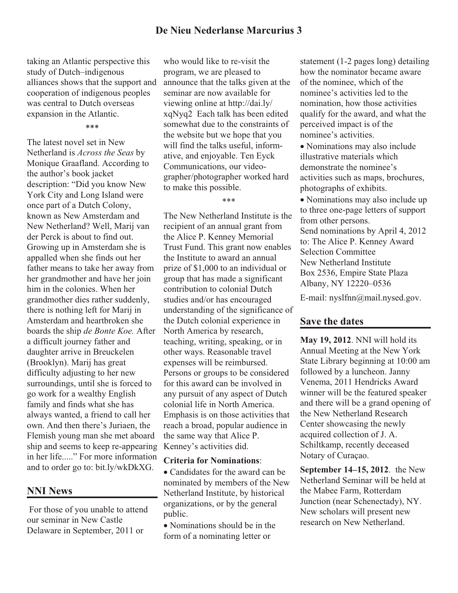taking an Atlantic perspective this study of Dutch–indigenous alliances shows that the support and cooperation of indigenous peoples was central to Dutch overseas expansion in the Atlantic.

\*\*\*

The latest novel set in New Netherland is *Across the Seas* by Monique Graafland. According to the author's book jacket description: "Did you know New York City and Long Island were once part of a Dutch Colony, known as New Amsterdam and New Netherland? Well, Marij van der Perck is about to find out. Growing up in Amsterdam she is appalled when she finds out her father means to take her away from her grandmother and have her join him in the colonies. When her grandmother dies rather suddenly, there is nothing left for Marij in Amsterdam and heartbroken she boards the ship *de Bonte Koe.* After a difficult journey father and daughter arrive in Breuckelen (Brooklyn). Marij has great difficulty adjusting to her new surroundings, until she is forced to go work for a wealthy English family and finds what she has always wanted, a friend to call her own. And then there's Juriaen, the Flemish young man she met aboard ship and seems to keep re-appearing in her life....." For more information and to order go to: bit.ly/wkDkXG.

#### **NNI News**

 For those of you unable to attend our seminar in New Castle Delaware in September, 2011 or

who would like to re-visit the program, we are pleased to announce that the talks given at the seminar are now available for viewing online at http://dai.ly/ xqNyq2 Each talk has been edited somewhat due to the constraints of the website but we hope that you will find the talks useful, informative, and enjoyable. Ten Eyck Communications, our videographer/photographer worked hard to make this possible.

\*\*\*

The New Netherland Institute is the recipient of an annual grant from the Alice P. Kenney Memorial Trust Fund. This grant now enables the Institute to award an annual prize of \$1,000 to an individual or group that has made a significant contribution to colonial Dutch studies and/or has encouraged understanding of the significance of the Dutch colonial experience in North America by research, teaching, writing, speaking, or in other ways. Reasonable travel expenses will be reimbursed. Persons or groups to be considered for this award can be involved in any pursuit of any aspect of Dutch colonial life in North America. Emphasis is on those activities that reach a broad, popular audience in the same way that Alice P. Kenney's activities did.

#### **Criteria for Nominations**:

• Candidates for the award can be nominated by members of the New Netherland Institute, by historical organizations, or by the general public.

 Nominations should be in the form of a nominating letter or

statement (1-2 pages long) detailing how the nominator became aware of the nominee, which of the nominee's activities led to the nomination, how those activities qualify for the award, and what the perceived impact is of the nominee's activities.

 Nominations may also include illustrative materials which demonstrate the nominee's activities such as maps, brochures, photographs of exhibits.

 Nominations may also include up to three one-page letters of support from other persons. Send nominations by April 4, 2012 to: The Alice P. Kenney Award Selection Committee New Netherland Institute Box 2536, Empire State Plaza Albany, NY 12220–0536

E-mail: nyslfnn@mail.nysed.gov.

## **Save the dates**

**May 19, 2012**. NNI will hold its Annual Meeting at the New York State Library beginning at 10:00 am followed by a luncheon. Janny Venema, 2011 Hendricks Award winner will be the featured speaker and there will be a grand opening of the New Netherland Research Center showcasing the newly acquired collection of J. A. Schiltkamp, recently deceased Notary of Curaçao.

**September 14–15, 2012**. the New Netherland Seminar will be held at the Mabee Farm, Rotterdam Junction (near Schenectady), NY. New scholars will present new research on New Netherland.